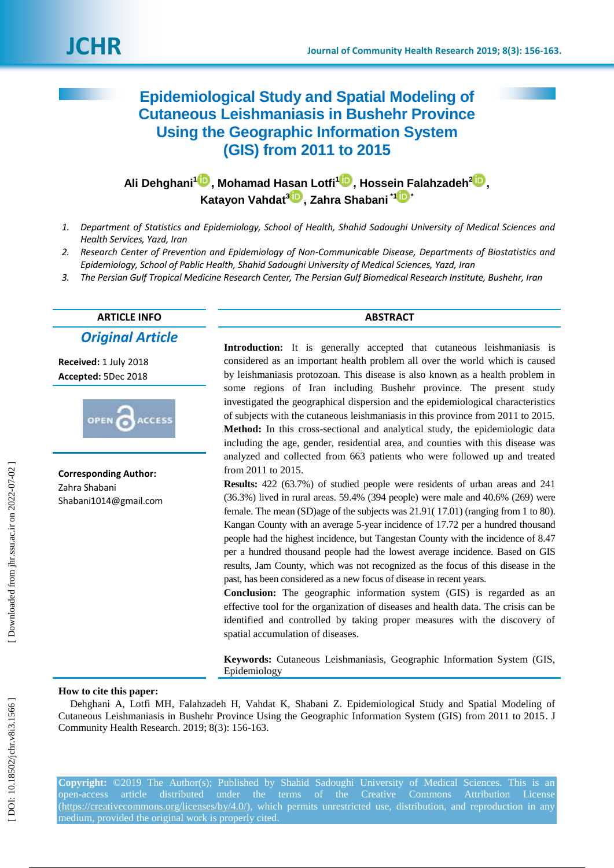# **Epidemiological Study and Spatial Modeling of Cutaneous Leishmaniasis in Bushehr Province Using the Geographic Information System (GIS) from 2011 to 2015**

**Ali Dehghani [1](https://orcid.org/0000-0001-9355-8035) , Mohamad Hasan Lotfi [1](https://orcid.org/0000-0003-1358-4984) , Hossein Falahzadeh [2](https://orcid.org/0000-0001-6518-366X) , Katayon Vahdat [3](https://orcid.org/0000-0001-9782-2067) , Zahra Shabani \* [1](https://orcid.org/0000-0003-4549-6524) \***

- *1. Department of Statistics and Epidemiology, School of Health, Shahid Sadoughi University of Medical Sciences and Health Services, Yazd, Iran*
- *2. Research Center of Prevention and Epidemiology of Non -Communicable Disease, Departments of Biostatistics and Epidemiology, School of Pablic Health, Shahid Sadoughi University of Medical Sciences, Yazd, Iran*
- *3. The Persian Gulf Tropical Medicine Research Center, The Persian Gulf Biomedical Research Institute, Bushehr, Iran*

# **ARTICLE INFO ABSTRACT**

*Original Article*

**Received:**  1 J uly 2018 **Accepted:** 5Dec 2018



**Corresponding Author:** Zahra Shabani Shabani1014@gmail.com

**Introduction:** It is generally accepted that cutaneous leishmaniasis is considered as an important health problem all over the world which is caused by leishmaniasis protozoan. This disease is also known as a health problem in some regions of Iran including Bushehr province. The present study investigated the geographical dispersion and the epidemiological characteristics of subjects with the cutaneous leishmaniasis in this province from 2011 to 2015. **Method:** In this cross -sectional and analytical study, the epidemiologic data including the age, gender, residential area, and counties with this disease was analyzed and collected from 663 patients who were followed up and treated from 2011 to 2015.

**Results:** 422 (63.7%) of studied people were residents of urban areas and 241 (36.3%) lived in rural areas. 59.4% (394 people) were male and 40.6% (269) were female. The mean (SD)age of the subjects was 21.91(17.01) (ranging from 1 to 80). Kangan County with an average 5 -year incidence of 17.72 per a hundred thousand people had the highest incidence, but Tangestan County with the incidence of 8.47 per a hundred thousand people had the lowest average incidence. Based on GIS results, Jam County, which was not recognized as the focus of this disease in the past, has been considered as a new focus of disease in recent years.

**Conclusion:** The geographic information system (GIS) is regarded as an effective tool for the organization of diseases and health data. The crisis can be identified and controlled by taking proper measures with the discovery of spatial accumulation of diseases.

**Keywords:** Cutaneous Leishmaniasis, Geographic Information System (GIS, Epidemiology

#### **How to cite this paper:**

Dehghani A, Lotfi MH, Falahzadeh H, Vahdat K, Shabani Z. Epidemiological Study and Spatial Modeling of Cutaneous Leishmaniasis in Bushehr Province Using the Geographic Information System (GIS) from 2011 to 2015. J Community Health Research. 2019; 8( 3): 156 -163 .

**Copyright:** ©2019 The Author(s); Published by Shahid Sadoughi University of Medical Sciences. This is an open-access article distributed under the terms of the Creative Commons Attribution License [\(https://creativecommons.org/licenses/by/4.0/\)](https://creativecommons.org/licenses/by/4.0/), which permits unrestricted use, distribution, and reproduction in any medium, provided the original work is properly cited.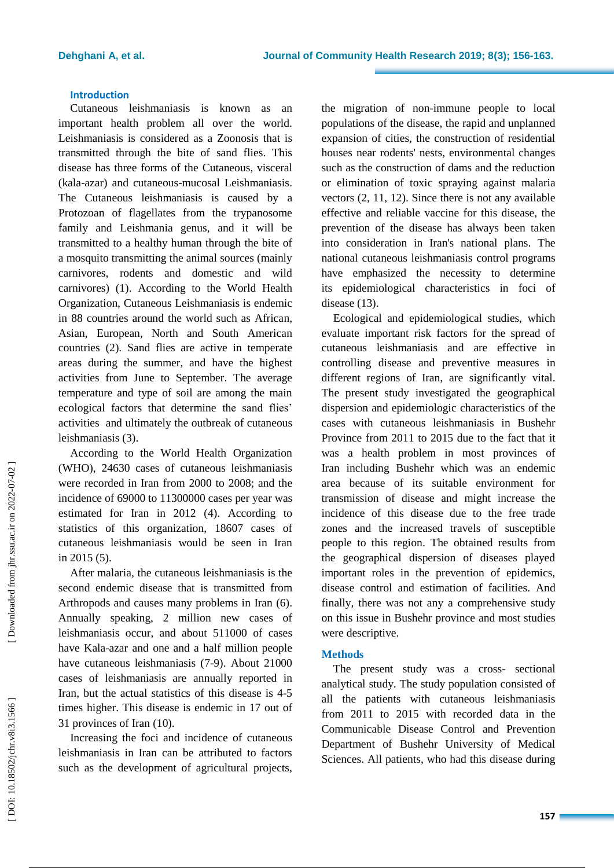# **Introduction**

Cutaneous leishmaniasis is known as an important health problem all over the world. Leishmaniasis is considered as a Zoonosis that is transmitted through the bite of sand flies . This disease has three forms of the Cutaneous, visceral (kala -azar) and cutaneous -mucosal Leishmaniasis . The Cutaneous leishmaniasis is caused by a Protozoan of flagellates from the trypanosome family and Leishmania genus, and it will be transmitted to a healthy human through the bite of a mosquito transmitting the animal sources (mainly carnivores, rodents and domestic and wild carnivores) ( 1 ) . According to the World Health Organization, Cutaneous Leishmaniasis is endemic in 88 countries around the world such as Africa n, Asia n, Europe a n, North and South America n countries ( 2 ) . Sand flies are active in temperate areas during the summer, and have the highest activities from June to September. The average temperature and type of soil are among the main ecological factors that determine the sand flies' activities and ultimately the outbreak of cutaneous leishmaniasis ( 3).

According to the World Health Organization (WHO), 24630 cases of cutaneous leishmaniasis were recorded in Iran from 2000 to 2008; and the incidence of 69000 to 11300000 cases per year was estimated for Iran in 2012 ( 4). According to statistics of this organization, 18607 cases of cutaneous leishmaniasis would be seen in Iran in 2015 (5).

After malaria, the cutaneous leishmaniasis is the second endemic disease that is transmitted from Arthropods and causes many problems in Iran ( 6). Annually speaking, 2 million new cases of leishmaniasis occur, and about 511000 of cases have Kala -azar and one and a half million people have cutaneous leishmaniasis (7-9). About 21000 cases of leishmaniasis are annually reported in Iran, but the actual statistics of this disease is 4-5 times higher . This disease is endemic in 17 out of 31 provinces of Iran (10).

Increasing the foci and incidence of cutaneous leishmaniasis in Iran can be attributed to factors such as the development of agricultural projects,

the migration of non -immune people to local populations of the disease, the rapid and unplanned expansion of cities, the construction of residential houses near rodents' nests, environmental changes such as the construction of dams and the reduction or elimination of toxic spraying against malaria vectors ( 2, 11, 12 ) . Since there is not any available effective and reliable vaccine for this disease, the prevention of the disease has always been taken into consideration in Iran's national plans. The national cutaneous leishmaniasis control programs have emphasized the necessity to determine its epidemiological characteristics in foci of disease (13).

Ecological and epidemiological studies, which evaluate important risk factors for the spread of cutaneous leishmaniasis and are effective in controlling disease and preventive measures in different regions of Iran, are significantly vital. The present study investigated the geographical dispersion and epidemiologic characteristics of the cases with cutaneous leishmaniasis in Bushehr Province from 2011 to 2015 due to the fact that it was a health problem in most provinces of Iran including Bushehr which was an endemic area because of its suitable environment for transmission of disease and might increase the incidence of this disease due to the free trade zones and the increase d travels of susceptible people to this region. The obtained results from the geographical dispersion of diseases played important role s in the prevention of epidemics, disease control and estimation of facilities. And finally, there was not any a comprehensive study on this issue in Bushehr province and most studies were descriptive.

#### **Methods**

The present study was a cross - sectional analytical study. The study population consisted of all the patients with cutaneous leishmaniasis from 2011 to 2015 with recorded data in the Communicable Disease Control and Prevention Depart ment of Bushehr University of Medical Sciences. All patients , who had this disease during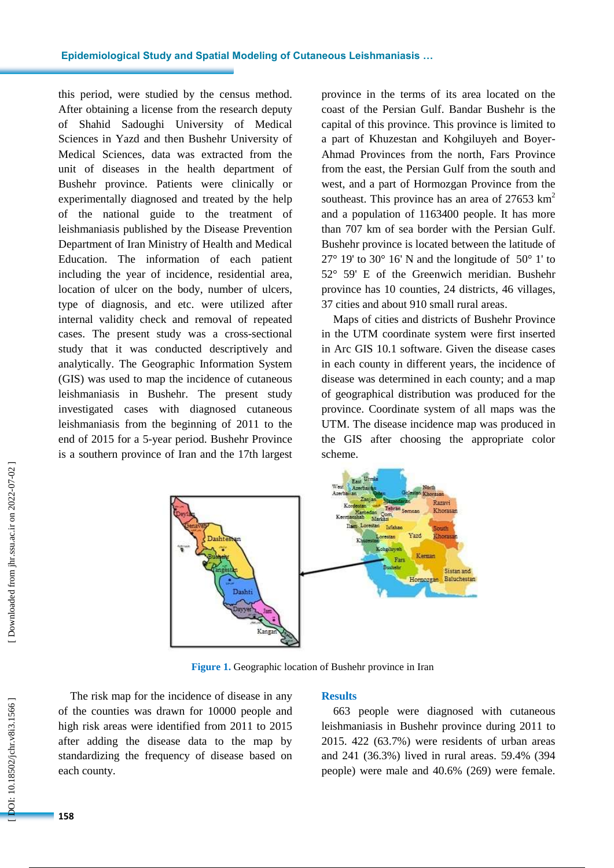this period , were studied by the census method . After obtaining a license from the research deputy of Shahid Sadoughi University of Medical Sciences in Yazd and then Bushehr University of Medical Sciences , data was extracted from the unit of diseases in the health department of Bushehr province. Patients were clinically or experimentally diagnosed and treated by the help of the national guide to the treatment of leishmaniasis published by the Disease Prevention Department of Iran Ministry of Health and Medical Education . The information of each patient including the year of incidence, residential area, location of ulcer on the body, number of ulcers, type of diagnosis, and etc. were utilized after internal validity check and removal of repeated cases . The present study was a cross -sectional study that it was conducted descriptively and analytically . The Geographic Information System (GIS) was used to map the incidence of cutaneous leishmaniasis in Bushehr. The present study investigated cases with diagnosed cutaneous leishmaniasis from the beginning of 2011 to the end of 2015 for a 5 -year period. Bushehr Province is a southern province of Iran and the 17th largest

province in the terms of its area located on the coast of the Persian Gulf . Bandar Bushehr is the capital of this province. This province is limited to a part of Khuzestan and Kohgiluyeh and Boyer-Ahmad Provinces from the north, Fars Province from the east , the Persian Gulf from the south and west , and a part of Hormozgan Province from the southeast. This province has an area of 27653 km<sup>2</sup> and a population of 1163400 people. It has more than 707 km of sea border with the Persian Gulf . Bushehr province is located between the latitude of  $27^{\circ}$  19' to 30° 16' N and the longitude of 50° 1' to 52 ° 59' E of the Greenwich meridian. Bushehr province has 10 counties, 24 districts , 46 villages , 37 cities and about 910 small rural areas .

Map s of cities and districts of Bushehr Province in the UTM coordinate system were first inserted in Arc GIS 10.1 software . Given the disease cases in each county in different years, the incidence of disease was determined in each county ; and a map of geographical distribution was produced for the province . Coordinate system of all maps was the UTM . The disease incidence map was produced in the GIS after choosing the appropriate color scheme.



**Figure 1.** Geographic location of Bushehr province in Iran

The risk map for the incidence of disease in any of the counties was drawn for 10000 people and high risk areas were identified from 2011 to 2015 after adding the disease data to the map by standardizing the frequency of disease based on each county.

#### **Results**

663 people were diagnosed with cutaneous leishmaniasis in Bushehr province during 2011 to 2015 . 422 (63.7%) were residents of urban areas and 241 (36.3%) lived in rural areas. 59.4% (394 people) were male and 40.6% (269) were female.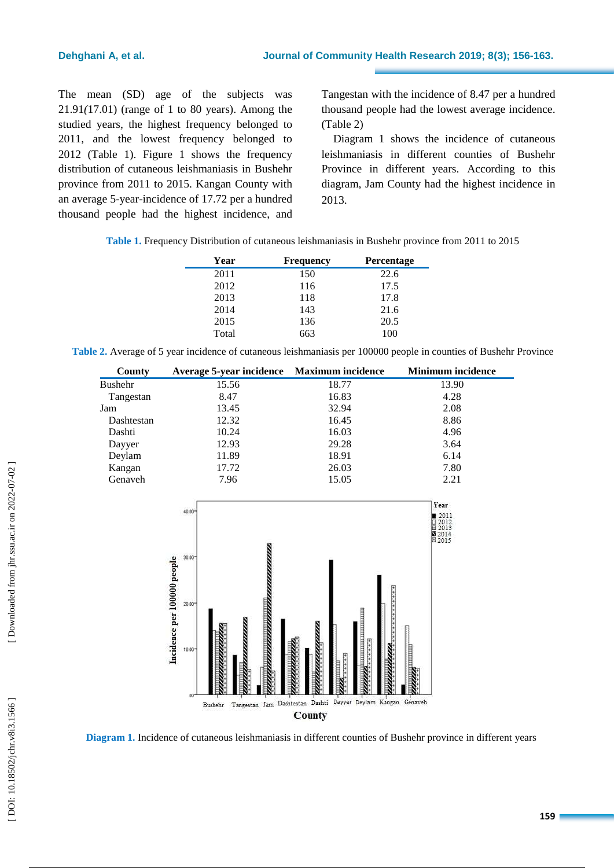The mean (SD) age of the subjects was 21.91 *(*17. 0 1 ) (range of 1 to 80 years). Among the studied years, the highest frequency belonged to 2011 , and the lowest frequency belonged to 2012 (Table 1). Figure 1 shows the frequency distribution of cutaneous leishmaniasis in Bushehr province from 2011 to 2015 . Kangan County with an average 5 -year -incidence of 17.72 per a hundred thousand people had the highest incidence , and

Tangestan with the incidence of 8.47 per a hundred thousand people had the lowest average incidence . (Table 2)

Diagram 1 shows the incidence of cutaneous leishmaniasis in different counties of Bushehr Province in different years. According to this diagram, Jam County had the highest incidence in 2013.

|  | Table 1. Frequency Distribution of cutaneous leishmaniasis in Bushehr province from 2011 to 2015 |  |  |  |  |  |
|--|--------------------------------------------------------------------------------------------------|--|--|--|--|--|
|--|--------------------------------------------------------------------------------------------------|--|--|--|--|--|

| Year  | <b>Frequency</b> | <b>Percentage</b> |
|-------|------------------|-------------------|
| 2011  | 150              | 22.6              |
| 2012  | 116              | 17.5              |
| 2013  | 118              | 17.8              |
| 2014  | 143              | 21.6              |
| 2015  | 136              | 20.5              |
| Total | 663              | 100               |

Table 2. Average of 5 year incidence of cutaneous leishmaniasis per 100000 people in counties of Bushehr Province

| County     | Average 5-year incidence Maximum incidence |       | <b>Minimum incidence</b> |
|------------|--------------------------------------------|-------|--------------------------|
| Bushehr    | 15.56                                      | 18.77 | 13.90                    |
| Tangestan  | 8.47                                       | 16.83 | 4.28                     |
| Jam        | 13.45                                      | 32.94 | 2.08                     |
| Dashtestan | 12.32                                      | 16.45 | 8.86                     |
| Dashti     | 10.24                                      | 16.03 | 4.96                     |
| Dayyer     | 12.93                                      | 29.28 | 3.64                     |
| Deylam     | 11.89                                      | 18.91 | 6.14                     |
| Kangan     | 17.72                                      | 26.03 | 7.80                     |
| Genaveh    | 7.96                                       | 15.05 | 2.21                     |



Diagram 1. Incidence of cutaneous leishmaniasis in different counties of Bushehr province in different years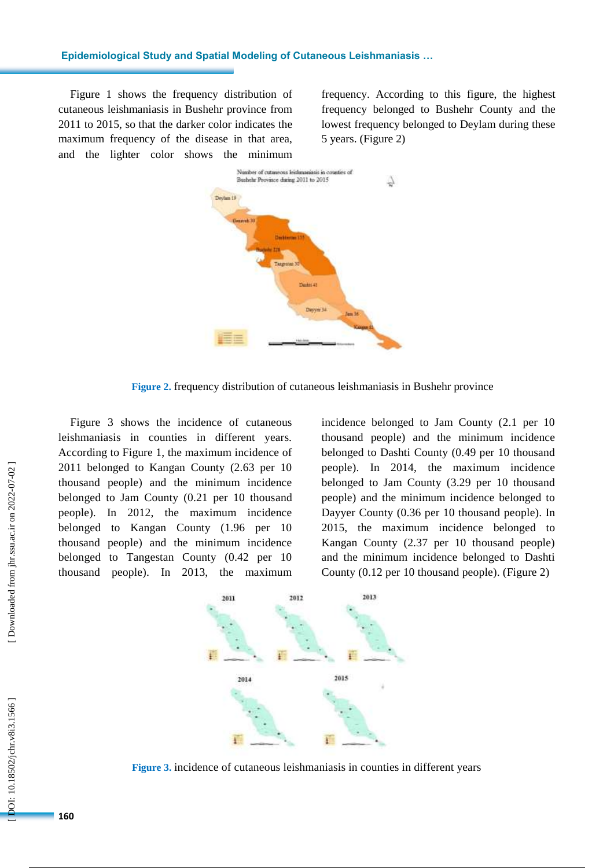#### **Epidemiological Study and Spatial Modeling of Cutaneous Leishmaniasis …**

Figure 1 shows the frequency distribution of cutaneous leishmaniasis in Bushehr province from 2011 to 2015 , so that the darker color indicates the maximum frequency of the disease in that area, and the lighter color shows the minimum

frequency. According to this figure, the highest frequency belonged to Bushehr County and the lowest frequency belonged to Deylam during these 5 years . (Figure 2 )



**Figure 2 .** frequency distribution of cutaneous leishmaniasis in Bushehr province

Figure 3 shows the incidence of cutaneous leishmaniasis in counties in different years. According to Figure 1, the maximum incidence of 2011 belonged to Kangan County (2.63 per 10 thousand people) and the minimum incidence belonged to Jam County (0.21 per 10 thousand people). In 2012, the maximum incidence belonged to Kangan County (1.96 per 10 thousand people) and the minimum incidence belonged to Tangestan County (0.42 per 10 thousand people). In 2013, the maximum

incidence belonged to Jam County (2.1 per 10 thousand people) and the minimum incidence belonged to Dashti County (0.49 per 10 thousand people). In 2014, the maximum incidence belonged to Jam County (3.29 per 10 thousand people) and the minimum incidence belonged to Dayyer County (0.36 per 10 thousand people). In 2015, the maximum incidence belonged to Kangan County (2.37 per 10 thousand people) and the minimum incidence belonged to Dashti County (0.12 per 10 thousand people). (Figure 2)



**Figure 3 .** incidence of cutaneous leishmaniasis in counties in different years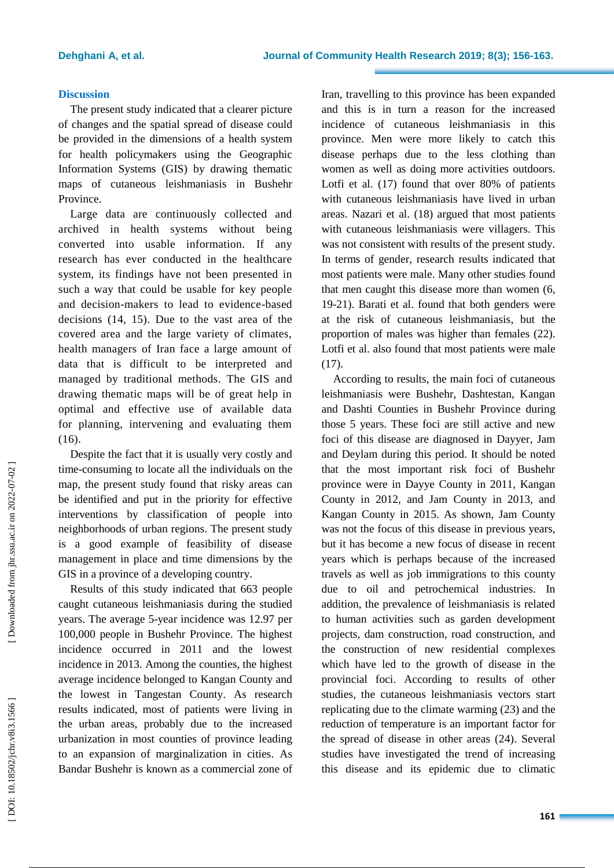#### **Discussion**

The present study indicated that a clearer picture of change s and the spatial spread of disease could be provided in the dimensions of a health system for health policymakers using the Geographic Information Systems (GIS) by drawing thematic maps of cutaneous leishmaniasis in Bushehr Province .

Large data are continuously collected and archived in health systems without being converted into usable information. If any research has ever conducted in the healthcare system, its findings have not been presented in such a way that could be usable for key people and decision -makers to lead to evidence -based decisions (14, 15). Due to the vast area of the covered area and the large variety of climates, health managers of Iran face a large amount of data that is difficult to be interpreted and manage d by traditional methods. The GIS and drawing thematic maps will be of great help in optimal and effective use of available data for planning, intervening and evaluating them (16).

Despite the fact that it is usually very costly and time -consuming to locat e all the individuals on the map, the present study found that risky areas can be identified and put in the priority for effective interventions by classification of people into neighborhoods of urban regions . The present study is a good example of feasibility of disease management in place and time dimensions by the GIS in a province of a developing country.

Results of this study indicated that 663 people caught cutaneous leishmaniasis during the studied years. The average 5 -year incidence was 12.97 per 100,000 people in Bushehr Province . The highest incidence occurred in 2011 and the lowest incidence in 2013 . Among the counties, the highest average incidence belonged to Kangan County and the lowest in Tangestan C ounty . As research results indicated, most of patients were living in the urban areas , probably due to the increase d urbanization in most counties of province le a ding to an expansion of marginalization in cities . As Bandar Bushehr is known as a commercial zone of

Iran, travelling to this province has been expanded and this is in turn a reason for the increased incidence of cutaneous leishmaniasis in this province. Men were more likely to catch this disease perhaps due to the less clothing than women as well as doing more activities outdoors. Lotfi et al. (17 ) found that over 80% of patients with cutaneous leishmaniasis have live d in urban areas. Nazari et al. (18 ) argued that most patients with cutaneous leishmaniasis were villagers. This was not consistent with results of the present study. In terms of gender, research results indicated that most patients were male. Many other studies found that men caught this disease more than women (6, 19 -21). Barati et al. found that both genders were at the risk of cutaneous leishmaniasis, but the proportion of males was higher than females (22). Lotfi et al. also found that most patients were male (17).

According to results, the main foci of cutaneous leishmaniasis were Bushehr, Dashtestan, Kangan and Dashti Counties in Bushehr Province during those 5 years. These foci are still active and new foci of this disease are diagnosed in Dayyer, Jam and Deylam during this period. It should be noted that the most important risk foci of Bushehr province were in Dayye County in 2011, Kangan County in 2012, and Jam County in 2013, and Kangan County in 2015 . As shown, Jam County was not the focus of this disease in previous years, but it has become a new focus of disease in recent years which is perhaps because of the increased travels as well as job immigrations to this county due to oil and petrochemical industries. In addition, the prevalence of leishmaniasis is related to human activities such as garden development projects, dam construction, road construction, and the construction of new residential complexes which have led to the growth of disease in the provincial foci . According to results of other studies , the cutaneous leishmaniasis vector s start replicating due to the climate warming (23) and the reduction of temperature is an important factor for the spread of disease in other areas (24). Several studies have investigated the trend of increasing this disease and its epidemic due to climatic

[Downloaded from jhr.ssu.ac.ir on 2022-07-02]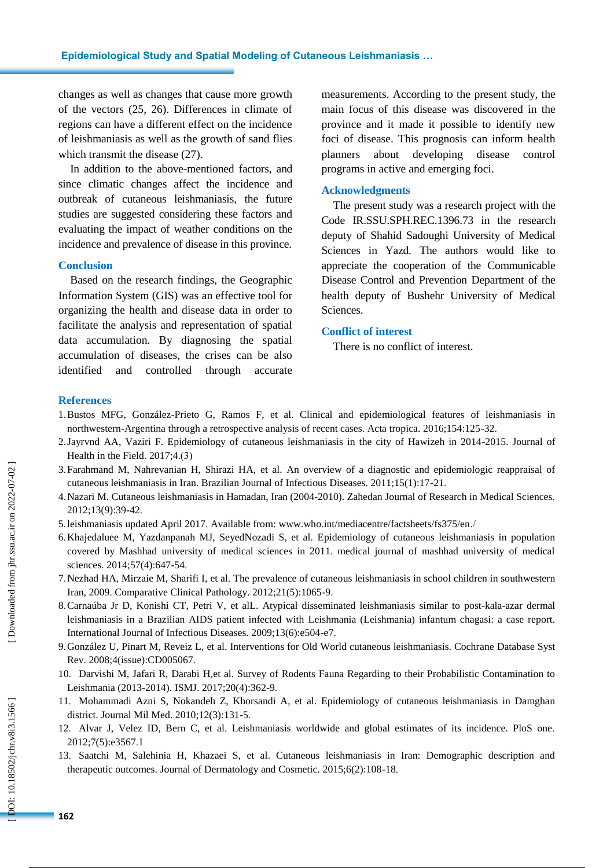changes as well as changes that cause more growth of the vectors (25, 26). Differences in climate of regions can have a different effect on the incidence of leishmaniasis as well as the growth of sand flies which transmit the disease (27).

In addition to the above -mentioned factors, and since climatic change s affect the incidence and outbreak of cutaneous leishmaniasis, the future studies are suggested considering these factors and evaluating the impact of weather conditions on the incidence and prevalence of disease in this province.

## **Conclusion**

Based on the research findings, the Geographic Information System (GIS) was an effective tool for organizing the health and diseas e data in order to facilitate the analysis and representation of spatial data accumulation. By diagnosing the spatial accumulation of diseases, the cris es can be also identified and controlled through accurate

measurements. Ac cording to the present study, the main focus of this disease was discovered in the province and it made it possible to identify new foci of disease. This prognosis can inform health planners about developing disease control programs in active and emerging foci .

#### **Acknowledgments**

The present study was a research project with the Code IR.SSU.SPH.REC.1396.73 in the research deputy of Shahid Sadoughi University of Medical Sciences in Yazd. The authors would like to appreciate the cooperation of the Communicable Disease Control and Prevention Department of the health deputy of Bushehr University of Medical Sciences.

### **Conflict of interest**

There is no conflict of interest.

### **References**

- 1.Bustos MFG, González -Prieto G, Ramos F, et al. Clinical and epidemiological features of leishmaniasis in northwestern-Argentina through a retrospective analysis of recent cases. Acta tropica. 2016;154:125-32.
- 2 .Jayrvnd AA, Vaziri F. Epidemiology of cutaneous leishmaniasis in the city of Hawizeh in 2014 -2015. Journal of Health in the Field.  $2017;4(3)$
- 3 .Farahmand M, Nahrevanian H, Shirazi HA, et al. An overview of a diagnostic and epidemiologic reappraisal of cutaneous leishmaniasis in Iran. Brazilian Journal of Infectious Diseases. 2011;15(1):17 -21 .
- 4 .Nazari M. Cutaneous leishmaniasis in Hamadan, Iran (2004 -2010). Zahedan Journal of Research in Medical Sciences. 2012;13(9):39 -42 .
- 5 .leishmaniasis updated April 2017. Available from: www.who.int/mediacentre/factsheets/fs375/en./
- 6 .Khajedaluee M, Yazdanpanah MJ, SeyedNozadi S, et al. Epidemiology of cutaneous leishmaniasis in population covered by Mashhad university of medical sciences in 2011. medical journal of mashhad university of medical sciences. 2014;57(4):647-54.
- 7 .Nezhad HA, Mirzaie M, Sharifi I, et al. The prevalence of cutaneous leishmaniasis in school children in southwestern Iran, 2009. Comparative Clinical Pathology. 2012;21(5):1065 - 9 .
- 8 .Carnaúba Jr D, Konishi CT, Petri V, et alL. Atypical disseminated leishmaniasis similar to post -kala -azar dermal leishmaniasis in a Brazilian AIDS patient infected with Leishmania (Leishmania) infantum chagasi: a case report. International Journal of Infectious Diseases. 2009;13(6):e504-e7.
- 9.González U, Pinart M, Reveiz L, et al. Interventions for Old World cutaneous leishmaniasis. Cochrane Database Syst Rev. 2008;4(issue):CD005067 .
- 10 . Darvishi M, Jafari R, Darabi H,et al. Survey of Rodents Fauna Regarding to their Probabilistic Contamination to Leishmania (2013-2014). ISMJ. 2017;20(4):362-9.
- 11 . Mohammadi Azni S, Nokandeh Z, Khorsandi A, et al. Epidemiology of cutaneous leishmaniasis in Damghan district. Journal Mil Med. 2010;12(3):131 - 5 .
- 12 . Alvar J, Velez ID, Bern C, et al. Leishmaniasis worldwide and global estimates of its incidence. PloS one. 2012;7(5):e3567 . 1
- 13 . Saatchi M, Salehinia H, Khazaei S, et al. Cutaneous leishmaniasis in Iran: Demographic description and therapeutic outcomes. Journal of Dermatology and Cosmetic. 2015;6(2):108-18.